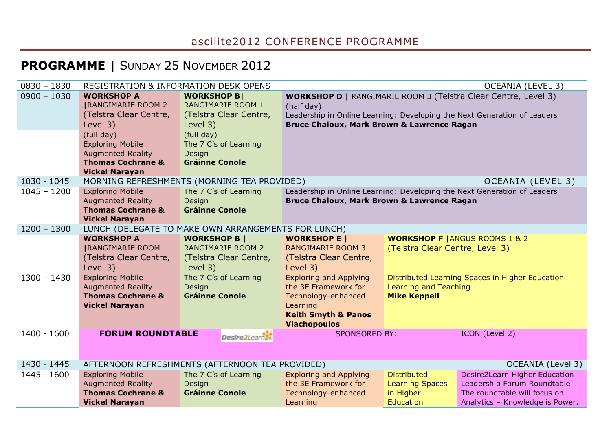### ascilite2012 CONFERENCE PROGRAMME

# **PROGRAMME |** SUNDAY 25 NOVEMBER 2012

| $0830 - 1830$ | REGISTRATION & INFORMATION DESK OPENS                                                                                                                                                                              |                                                                                                                                                                | <b>OCEANIA (LEVEL 3)</b>                                                                                                                                                                                      |                                                                                                                                                                                 |                                                                                                                                 |  |  |  |
|---------------|--------------------------------------------------------------------------------------------------------------------------------------------------------------------------------------------------------------------|----------------------------------------------------------------------------------------------------------------------------------------------------------------|---------------------------------------------------------------------------------------------------------------------------------------------------------------------------------------------------------------|---------------------------------------------------------------------------------------------------------------------------------------------------------------------------------|---------------------------------------------------------------------------------------------------------------------------------|--|--|--|
| $0900 - 1030$ | <b>WORKSHOP A</b><br><b>JRANGIMARIE ROOM 2</b><br>(Telstra Clear Centre,<br>Level 3)<br>(full day)<br><b>Exploring Mobile</b><br><b>Augmented Reality</b><br><b>Thomas Cochrane &amp;</b><br><b>Vickel Narayan</b> | <b>WORKSHOP BI</b><br><b>RANGIMARIE ROOM 1</b><br>(Telstra Clear Centre,<br>Level 3)<br>(full day)<br>The 7 C's of Learning<br>Design<br><b>Gráinne Conole</b> | <b>WORKSHOP D   RANGIMARIE ROOM 3 (Telstra Clear Centre, Level 3)</b><br>(half day)<br>Leadership in Online Learning: Developing the Next Generation of Leaders<br>Bruce Chaloux, Mark Brown & Lawrence Ragan |                                                                                                                                                                                 |                                                                                                                                 |  |  |  |
| $1030 - 1045$ |                                                                                                                                                                                                                    | MORNING REFRESHMENTS (MORNING TEA PROVIDED)                                                                                                                    |                                                                                                                                                                                                               |                                                                                                                                                                                 | OCEANIA (LEVEL 3)                                                                                                               |  |  |  |
| $1045 - 1200$ | <b>Exploring Mobile</b><br><b>Augmented Reality</b><br><b>Thomas Cochrane &amp;</b><br><b>Vickel Narayan</b>                                                                                                       | The 7 C's of Learning<br>Design<br><b>Gráinne Conole</b>                                                                                                       | Bruce Chaloux, Mark Brown & Lawrence Ragan                                                                                                                                                                    |                                                                                                                                                                                 | Leadership in Online Learning: Developing the Next Generation of Leaders                                                        |  |  |  |
| $1200 - 1300$ |                                                                                                                                                                                                                    | LUNCH (DELEGATE TO MAKE OWN ARRANGEMENTS FOR LUNCH)                                                                                                            |                                                                                                                                                                                                               |                                                                                                                                                                                 |                                                                                                                                 |  |  |  |
| $1300 - 1430$ | <b>WORKSHOP A</b><br><b>JRANGIMARIE ROOM 1</b><br>(Telstra Clear Centre,<br>Level 3)<br><b>Exploring Mobile</b><br><b>Augmented Reality</b><br><b>Thomas Cochrane &amp;</b>                                        | <b>WORKSHOP B  </b><br><b>RANGIMARIE ROOM 2</b><br>(Telstra Clear Centre,<br>Level 3)<br>The 7 C's of Learning<br>Design<br><b>Gráinne Conole</b>              | <b>WORKSHOP E  </b><br><b>RANGIMARIE ROOM 3</b><br>(Telstra Clear Centre,<br>Level 3)<br><b>Exploring and Applying</b><br>the 3E Framework for<br>Technology-enhanced                                         | <b>WORKSHOP F   ANGUS ROOMS 1 &amp; 2</b><br>(Telstra Clear Centre, Level 3)<br>Distributed Learning Spaces in Higher Education<br>Learning and Teaching<br><b>Mike Keppell</b> |                                                                                                                                 |  |  |  |
|               | <b>Vickel Narayan</b>                                                                                                                                                                                              |                                                                                                                                                                | Learning<br><b>Keith Smyth &amp; Panos</b><br><b>Vlachopoulos</b>                                                                                                                                             |                                                                                                                                                                                 |                                                                                                                                 |  |  |  |
| $1400 - 1600$ | <b>FORUM ROUNDTABLE</b>                                                                                                                                                                                            | Desire2Learn                                                                                                                                                   | <b>SPONSORED BY:</b>                                                                                                                                                                                          |                                                                                                                                                                                 | ICON (Level 2)                                                                                                                  |  |  |  |
| 1430 - 1445   |                                                                                                                                                                                                                    | AFTERNOON REFRESHMENTS (AFTERNOON TEA PROVIDED)                                                                                                                |                                                                                                                                                                                                               |                                                                                                                                                                                 | OCEANIA (Level 3)                                                                                                               |  |  |  |
| 1445 - 1600   | <b>Exploring Mobile</b><br><b>Augmented Reality</b><br><b>Thomas Cochrane &amp;</b><br><b>Vickel Narayan</b>                                                                                                       | The 7 C's of Learning<br>Design<br><b>Gráinne Conole</b>                                                                                                       | <b>Exploring and Applying</b><br>the 3E Framework for<br>Technology-enhanced<br>Learning                                                                                                                      | <b>Distributed</b><br><b>Learning Spaces</b><br>in Higher<br><b>Education</b>                                                                                                   | Desire2Learn Higher Education<br>Leadership Forum Roundtable<br>The roundtable will focus on<br>Analytics - Knowledge is Power. |  |  |  |
|               |                                                                                                                                                                                                                    |                                                                                                                                                                |                                                                                                                                                                                                               |                                                                                                                                                                                 |                                                                                                                                 |  |  |  |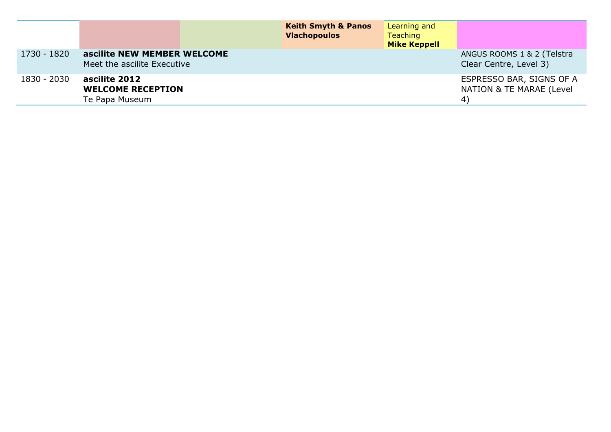|             |                                                             | <b>Keith Smyth &amp; Panos</b><br><b>Vlachopoulos</b> | Learning and<br>Teaching<br><b>Mike Keppell</b> |                                                                                |
|-------------|-------------------------------------------------------------|-------------------------------------------------------|-------------------------------------------------|--------------------------------------------------------------------------------|
| 1730 - 1820 | ascilite NEW MEMBER WELCOME<br>Meet the ascilite Executive  |                                                       |                                                 | ANGUS ROOMS 1 & 2 (Telstra<br>Clear Centre, Level 3)                           |
| 1830 - 2030 | ascilite 2012<br><b>WELCOME RECEPTION</b><br>Te Papa Museum |                                                       |                                                 | ESPRESSO BAR, SIGNS OF A<br><b>NATION &amp; TE MARAE (Level</b><br>$ 4\rangle$ |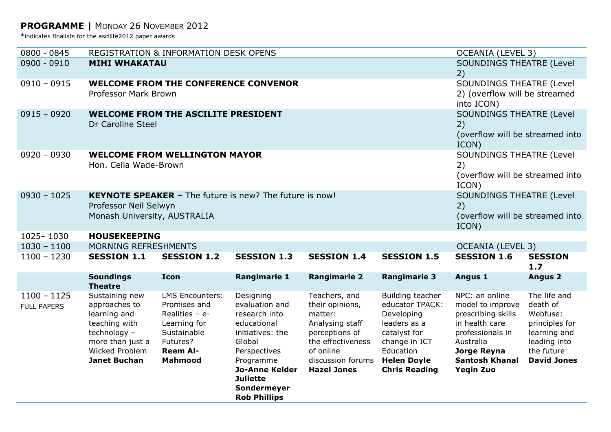#### **PROGRAMME |** MONDAY 26 NOVEMBER 2012

\*indicates finalists for the ascilite2012 paper awards

| $0800 - 0845$                       |                                                                                                                                        | <b>REGISTRATION &amp; INFORMATION DESK OPENS</b>                                                                                            |                                                                                                                                                                                                          |                                                                                                                                                               |                                                                                                                                                               | <b>OCEANIA (LEVEL 3)</b>                                                                                                                                                |                                                                                                                            |  |
|-------------------------------------|----------------------------------------------------------------------------------------------------------------------------------------|---------------------------------------------------------------------------------------------------------------------------------------------|----------------------------------------------------------------------------------------------------------------------------------------------------------------------------------------------------------|---------------------------------------------------------------------------------------------------------------------------------------------------------------|---------------------------------------------------------------------------------------------------------------------------------------------------------------|-------------------------------------------------------------------------------------------------------------------------------------------------------------------------|----------------------------------------------------------------------------------------------------------------------------|--|
| $0900 - 0910$                       | <b>MIHI WHAKATAU</b>                                                                                                                   |                                                                                                                                             |                                                                                                                                                                                                          |                                                                                                                                                               |                                                                                                                                                               | <b>SOUNDINGS THEATRE (Level</b><br>2)                                                                                                                                   |                                                                                                                            |  |
| $0910 - 0915$                       | <b>Professor Mark Brown</b>                                                                                                            | <b>WELCOME FROM THE CONFERENCE CONVENOR</b>                                                                                                 |                                                                                                                                                                                                          |                                                                                                                                                               |                                                                                                                                                               | SOUNDINGS THEATRE (Level<br>2) (overflow will be streamed<br>into ICON)                                                                                                 |                                                                                                                            |  |
| $0915 - 0920$                       | Dr Caroline Steel                                                                                                                      | <b>WELCOME FROM THE ASCILITE PRESIDENT</b>                                                                                                  |                                                                                                                                                                                                          |                                                                                                                                                               |                                                                                                                                                               | <b>SOUNDINGS THEATRE (Level</b><br>2)<br>(overflow will be streamed into<br>ICON)                                                                                       |                                                                                                                            |  |
| $0920 - 0930$                       |                                                                                                                                        | SOUNDINGS THEATRE (Level<br><b>WELCOME FROM WELLINGTON MAYOR</b><br>Hon. Celia Wade-Brown<br>2)<br>(overflow will be streamed into<br>ICON) |                                                                                                                                                                                                          |                                                                                                                                                               |                                                                                                                                                               |                                                                                                                                                                         |                                                                                                                            |  |
| $0930 - 1025$                       | <b>KEYNOTE SPEAKER - The future is new? The future is now!</b><br>Professor Neil Selwyn<br>2)<br>Monash University, AUSTRALIA<br>ICON) |                                                                                                                                             |                                                                                                                                                                                                          |                                                                                                                                                               |                                                                                                                                                               |                                                                                                                                                                         | <b>SOUNDINGS THEATRE (Level</b><br>(overflow will be streamed into                                                         |  |
| 1025-1030                           | <b>HOUSEKEEPING</b>                                                                                                                    |                                                                                                                                             |                                                                                                                                                                                                          |                                                                                                                                                               |                                                                                                                                                               |                                                                                                                                                                         |                                                                                                                            |  |
| $1030 - 1100$                       | <b>MORNING REFRESHMENTS</b>                                                                                                            |                                                                                                                                             |                                                                                                                                                                                                          |                                                                                                                                                               |                                                                                                                                                               | <b>OCEANIA (LEVEL 3)</b>                                                                                                                                                |                                                                                                                            |  |
| $1100 - 1230$                       | <b>SESSION 1.1</b>                                                                                                                     | <b>SESSION 1.2</b>                                                                                                                          | <b>SESSION 1.3</b>                                                                                                                                                                                       | <b>SESSION 1.4</b>                                                                                                                                            | <b>SESSION 1.5</b>                                                                                                                                            | <b>SESSION 1.6</b>                                                                                                                                                      | <b>SESSION</b><br>1.7                                                                                                      |  |
|                                     | <b>Soundings</b><br><b>Theatre</b>                                                                                                     | <b>Icon</b>                                                                                                                                 | <b>Rangimarie 1</b>                                                                                                                                                                                      | <b>Rangimarie 2</b>                                                                                                                                           | <b>Rangimarie 3</b>                                                                                                                                           | Angus 1                                                                                                                                                                 | <b>Angus 2</b>                                                                                                             |  |
| $1100 - 1125$<br><b>FULL PAPERS</b> | Sustaining new<br>approaches to<br>learning and<br>teaching with<br>technology -<br>more than just a<br>Wicked Problem<br>Janet Buchan | <b>LMS Encounters:</b><br>Promises and<br>Realities - $e$ -<br>Learning for<br>Sustainable<br>Futures?<br><b>Reem Al-</b><br><b>Mahmood</b> | Designing<br>evaluation and<br>research into<br>educational<br>initiatives: the<br>Global<br>Perspectives<br>Programme<br><b>Jo-Anne Kelder</b><br><b>Juliette</b><br>Sondermeyer<br><b>Rob Phillips</b> | Teachers, and<br>their opinions,<br>matter:<br>Analysing staff<br>perceptions of<br>the effectiveness<br>of online<br>discussion forums<br><b>Hazel Jones</b> | Building teacher<br>educator TPACK:<br>Developing<br>leaders as a<br>catalyst for<br>change in ICT<br>Education<br><b>Helen Doyle</b><br><b>Chris Reading</b> | NPC: an online<br>model to improve<br>prescribing skills<br>in health care<br>professionals in<br>Australia<br>Jorge Reyna<br><b>Santosh Khanal</b><br><b>Yeqin Zuo</b> | The life and<br>death of<br>Webfuse:<br>principles for<br>learning and<br>leading into<br>the future<br><b>David Jones</b> |  |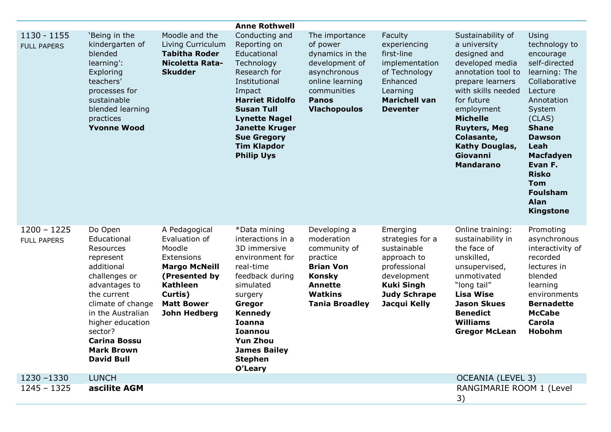|                                     |                                                                                                                                                                                                                                                           |                                                                                                                                                                    | <b>Anne Rothwell</b>                                                                                                                                                                                                                                                    |                                                                                                                                                          |                                                                                                                                                       |                                                                                                                                                                                                                                                                            |                                                                                                                                                                                                                                                                                          |
|-------------------------------------|-----------------------------------------------------------------------------------------------------------------------------------------------------------------------------------------------------------------------------------------------------------|--------------------------------------------------------------------------------------------------------------------------------------------------------------------|-------------------------------------------------------------------------------------------------------------------------------------------------------------------------------------------------------------------------------------------------------------------------|----------------------------------------------------------------------------------------------------------------------------------------------------------|-------------------------------------------------------------------------------------------------------------------------------------------------------|----------------------------------------------------------------------------------------------------------------------------------------------------------------------------------------------------------------------------------------------------------------------------|------------------------------------------------------------------------------------------------------------------------------------------------------------------------------------------------------------------------------------------------------------------------------------------|
| 1130 - 1155<br><b>FULL PAPERS</b>   | 'Being in the<br>kindergarten of<br>blended<br>learning':<br>Exploring<br>teachers'<br>processes for<br>sustainable<br>blended learning<br>practices<br><b>Yvonne Wood</b>                                                                                | Moodle and the<br>Living Curriculum<br><b>Tabitha Roder</b><br><b>Nicoletta Rata-</b><br><b>Skudder</b>                                                            | Conducting and<br>Reporting on<br>Educational<br>Technology<br>Research for<br>Institutional<br>Impact<br><b>Harriet Ridolfo</b><br><b>Susan Tull</b><br><b>Lynette Nagel</b><br><b>Janette Kruger</b><br><b>Sue Gregory</b><br><b>Tim Klapdor</b><br><b>Philip Uys</b> | The importance<br>of power<br>dynamics in the<br>development of<br>asynchronous<br>online learning<br>communities<br><b>Panos</b><br><b>Vlachopoulos</b> | Faculty<br>experiencing<br>first-line<br>implementation<br>of Technology<br>Enhanced<br>Learning<br><b>Marichell van</b><br><b>Deventer</b>           | Sustainability of<br>a university<br>designed and<br>developed media<br>annotation tool to<br>prepare learners<br>with skills needed<br>for future<br>employment<br><b>Michelle</b><br><b>Ruyters, Meg</b><br>Colasante,<br>Kathy Douglas,<br>Giovanni<br><b>Mandarano</b> | Using<br>technology to<br>encourage<br>self-directed<br>learning: The<br>Collaborative<br>Lecture<br>Annotation<br>System<br>(CLAS)<br><b>Shane</b><br><b>Dawson</b><br>Leah<br><b>Macfadyen</b><br>Evan F.<br><b>Risko</b><br><b>Tom</b><br><b>Foulsham</b><br>Alan<br><b>Kingstone</b> |
| $1200 - 1225$<br><b>FULL PAPERS</b> | Do Open<br>Educational<br>Resources<br>represent<br>additional<br>challenges or<br>advantages to<br>the current<br>climate of change<br>in the Australian<br>higher education<br>sector?<br><b>Carina Bossu</b><br><b>Mark Brown</b><br><b>David Bull</b> | A Pedagogical<br>Evaluation of<br>Moodle<br>Extensions<br><b>Margo McNeill</b><br>(Presented by<br><b>Kathleen</b><br>Curtis)<br><b>Matt Bower</b><br>John Hedberg | *Data mining<br>interactions in a<br>3D immersive<br>environment for<br>real-time<br>feedback during<br>simulated<br>surgery<br>Gregor<br><b>Kennedy</b><br><b>Ioanna</b><br><b>Ioannou</b><br><b>Yun Zhou</b><br><b>James Bailey</b><br><b>Stephen</b><br>O'Leary      | Developing a<br>moderation<br>community of<br>practice<br><b>Brian Von</b><br><b>Konsky</b><br><b>Annette</b><br><b>Watkins</b><br><b>Tania Broadley</b> | Emerging<br>strategies for a<br>sustainable<br>approach to<br>professional<br>development<br><b>Kuki Singh</b><br><b>Judy Schrape</b><br>Jacqui Kelly | Online training:<br>sustainability in<br>the face of<br>unskilled,<br>unsupervised,<br>unmotivated<br>"long tail"<br><b>Lisa Wise</b><br><b>Jason Skues</b><br><b>Benedict</b><br><b>Williams</b><br><b>Gregor McLean</b>                                                  | Promoting<br>asynchronous<br>interactivity of<br>recorded<br>lectures in<br>blended<br>learning<br>environments<br><b>Bernadette</b><br><b>McCabe</b><br>Carola<br>Hobohm                                                                                                                |
| 1230 -1330                          | <b>LUNCH</b>                                                                                                                                                                                                                                              |                                                                                                                                                                    |                                                                                                                                                                                                                                                                         |                                                                                                                                                          |                                                                                                                                                       | <b>OCEANIA (LEVEL 3)</b>                                                                                                                                                                                                                                                   |                                                                                                                                                                                                                                                                                          |
| $1245 - 1325$                       | ascilite AGM                                                                                                                                                                                                                                              |                                                                                                                                                                    |                                                                                                                                                                                                                                                                         |                                                                                                                                                          |                                                                                                                                                       | RANGIMARIE ROOM 1 (Level<br>3)                                                                                                                                                                                                                                             |                                                                                                                                                                                                                                                                                          |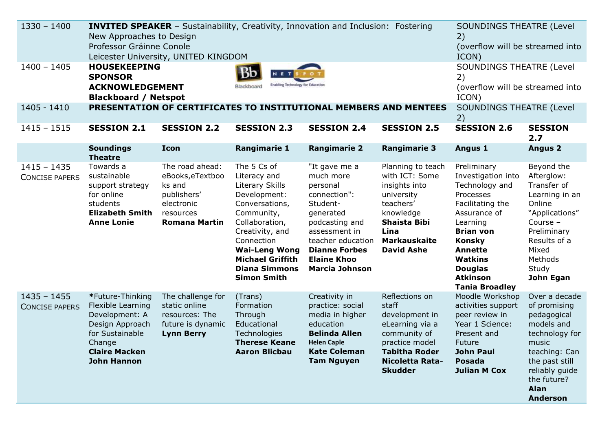| $1330 - 1400$<br>$1400 - 1405$         | <b>INVITED SPEAKER</b> - Sustainability, Creativity, Innovation and Inclusion: Fostering<br><b>SOUNDINGS THEATRE (Level</b><br>New Approaches to Design<br>2)<br>Professor Gráinne Conole<br>(overflow will be streamed into<br>Leicester University, UNITED KINGDOM<br>ICON)<br><b>HOUSEKEEPING</b><br><b>SOUNDINGS THEATRE (Level</b><br><b>NET</b><br><b>SPONSOR</b><br>2)<br>Enabling Technology for Education<br><b>ACKNOWLEDGEMENT</b><br>Blackboard<br>(overflow will be streamed into |                                                                                                                 |                                                                                                                                                                                                                                                    |                                                                                                                                                                                                                |                                                                                                                                                                    |                                                                                                                                                                                                                                                         |                                                                                                                                                                                      |
|----------------------------------------|-----------------------------------------------------------------------------------------------------------------------------------------------------------------------------------------------------------------------------------------------------------------------------------------------------------------------------------------------------------------------------------------------------------------------------------------------------------------------------------------------|-----------------------------------------------------------------------------------------------------------------|----------------------------------------------------------------------------------------------------------------------------------------------------------------------------------------------------------------------------------------------------|----------------------------------------------------------------------------------------------------------------------------------------------------------------------------------------------------------------|--------------------------------------------------------------------------------------------------------------------------------------------------------------------|---------------------------------------------------------------------------------------------------------------------------------------------------------------------------------------------------------------------------------------------------------|--------------------------------------------------------------------------------------------------------------------------------------------------------------------------------------|
| 1405 - 1410                            | <b>Blackboard / Netspot</b><br>PRESENTATION OF CERTIFICATES TO INSTITUTIONAL MEMBERS AND MENTEES                                                                                                                                                                                                                                                                                                                                                                                              | ICON)<br><b>SOUNDINGS THEATRE (Level</b><br>2)                                                                  |                                                                                                                                                                                                                                                    |                                                                                                                                                                                                                |                                                                                                                                                                    |                                                                                                                                                                                                                                                         |                                                                                                                                                                                      |
| $1415 - 1515$                          | <b>SESSION 2.1</b>                                                                                                                                                                                                                                                                                                                                                                                                                                                                            | <b>SESSION 2.2</b>                                                                                              | <b>SESSION 2.3</b>                                                                                                                                                                                                                                 | <b>SESSION 2.4</b>                                                                                                                                                                                             | <b>SESSION 2.5</b>                                                                                                                                                 | <b>SESSION 2.6</b>                                                                                                                                                                                                                                      | <b>SESSION</b><br>2.7                                                                                                                                                                |
|                                        | <b>Soundings</b><br><b>Theatre</b>                                                                                                                                                                                                                                                                                                                                                                                                                                                            | <b>Icon</b>                                                                                                     | <b>Rangimarie 1</b>                                                                                                                                                                                                                                | <b>Rangimarie 2</b>                                                                                                                                                                                            | <b>Rangimarie 3</b>                                                                                                                                                | Angus 1                                                                                                                                                                                                                                                 | <b>Angus 2</b>                                                                                                                                                                       |
| $1415 - 1435$<br><b>CONCISE PAPERS</b> | Towards a<br>sustainable<br>support strategy<br>for online<br>students<br><b>Elizabeth Smith</b><br><b>Anne Lonie</b>                                                                                                                                                                                                                                                                                                                                                                         | The road ahead:<br>eBooks, eTextboo<br>ks and<br>publishers'<br>electronic<br>resources<br><b>Romana Martin</b> | The 5 Cs of<br>Literacy and<br>Literary Skills<br>Development:<br>Conversations,<br>Community,<br>Collaboration,<br>Creativity, and<br>Connection<br><b>Wai-Leng Wong</b><br><b>Michael Griffith</b><br><b>Diana Simmons</b><br><b>Simon Smith</b> | "It gave me a<br>much more<br>personal<br>connection":<br>Student-<br>generated<br>podcasting and<br>assessment in<br>teacher education<br><b>Dianne Forbes</b><br><b>Elaine Khoo</b><br><b>Marcia Johnson</b> | Planning to teach<br>with ICT: Some<br>insights into<br>university<br>teachers'<br>knowledge<br>Shaista Bibi<br>Lina<br><b>Markauskaite</b><br><b>David Ashe</b>   | Preliminary<br>Investigation into<br>Technology and<br>Processes<br>Facilitating the<br>Assurance of<br>Learning<br><b>Brian von</b><br><b>Konsky</b><br><b>Annette</b><br><b>Watkins</b><br><b>Douglas</b><br><b>Atkinson</b><br><b>Tania Broadley</b> | Beyond the<br>Afterglow:<br>Transfer of<br>Learning in an<br>Online<br>"Applications"<br>Course -<br>Preliminary<br>Results of a<br>Mixed<br>Methods<br>Study<br>John Egan           |
| $1435 - 1455$<br><b>CONCISE PAPERS</b> | *Future-Thinking<br>Flexible Learning<br>Development: A<br>Design Approach<br>for Sustainable<br>Change<br><b>Claire Macken</b><br><b>John Hannon</b>                                                                                                                                                                                                                                                                                                                                         | The challenge for<br>static online<br>resources: The<br>future is dynamic<br><b>Lynn Berry</b>                  | (Trans)<br>Formation<br>Through<br>Educational<br>Technologies<br><b>Therese Keane</b><br><b>Aaron Blicbau</b>                                                                                                                                     | Creativity in<br>practice: social<br>media in higher<br>education<br><b>Belinda Allen</b><br><b>Helen Caple</b><br><b>Kate Coleman</b><br><b>Tam Nguyen</b>                                                    | Reflections on<br>staff<br>development in<br>eLearning via a<br>community of<br>practice model<br><b>Tabitha Roder</b><br><b>Nicoletta Rata-</b><br><b>Skudder</b> | Moodle Workshop<br>activities support<br>peer review in<br>Year 1 Science:<br>Present and<br>Future<br><b>John Paul</b><br><b>Posada</b><br><b>Julian M Cox</b>                                                                                         | Over a decade<br>of promising<br>pedagogical<br>models and<br>technology for<br>music<br>teaching: Can<br>the past still<br>reliably guide<br>the future?<br>Alan<br><b>Anderson</b> |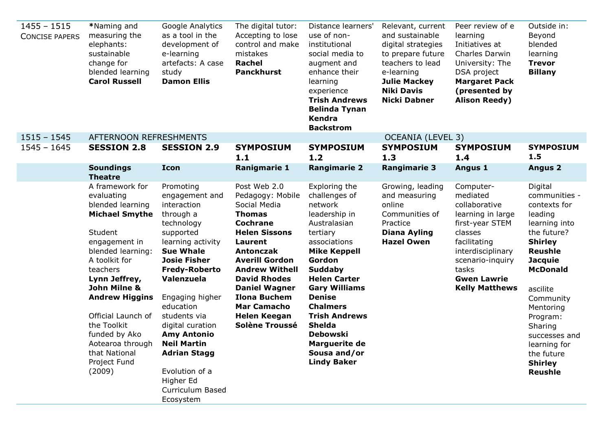| $1455 - 1515$<br><b>CONCISE PAPERS</b> | *Naming and<br>measuring the<br>elephants:<br>sustainable<br>change for<br>blended learning<br><b>Carol Russell</b>                                                                                                                                                                                                                                                           | Google Analytics<br>as a tool in the<br>development of<br>e-learning<br>artefacts: A case<br>study<br><b>Damon Ellis</b>                                                                                                                                                                                                                                                                                       | The digital tutor:<br>Accepting to lose<br>control and make<br>mistakes<br>Rachel<br><b>Panckhurst</b>                                                                                                                                                                                                                                             | Distance learners'<br>use of non-<br>institutional<br>social media to<br>augment and<br>enhance their<br>learning<br>experience<br><b>Trish Andrews</b><br><b>Belinda Tynan</b><br><b>Kendra</b><br><b>Backstrom</b>                                                                                                                                                            | Relevant, current<br>and sustainable<br>digital strategies<br>to prepare future<br>teachers to lead<br>e-learning<br><b>Julie Mackey</b><br><b>Niki Davis</b><br><b>Nicki Dabner</b> | Peer review of e<br>learning<br>Initiatives at<br>Charles Darwin<br>University: The<br>DSA project<br><b>Margaret Pack</b><br>(presented by<br><b>Alison Reedy)</b>                                                   | Outside in:<br>Beyond<br>blended<br>learning<br><b>Trevor</b><br><b>Billany</b>                                                                                                                                                                                                                                                |
|----------------------------------------|-------------------------------------------------------------------------------------------------------------------------------------------------------------------------------------------------------------------------------------------------------------------------------------------------------------------------------------------------------------------------------|----------------------------------------------------------------------------------------------------------------------------------------------------------------------------------------------------------------------------------------------------------------------------------------------------------------------------------------------------------------------------------------------------------------|----------------------------------------------------------------------------------------------------------------------------------------------------------------------------------------------------------------------------------------------------------------------------------------------------------------------------------------------------|---------------------------------------------------------------------------------------------------------------------------------------------------------------------------------------------------------------------------------------------------------------------------------------------------------------------------------------------------------------------------------|--------------------------------------------------------------------------------------------------------------------------------------------------------------------------------------|-----------------------------------------------------------------------------------------------------------------------------------------------------------------------------------------------------------------------|--------------------------------------------------------------------------------------------------------------------------------------------------------------------------------------------------------------------------------------------------------------------------------------------------------------------------------|
| $1515 - 1545$                          | AFTERNOON REFRESHMENTS                                                                                                                                                                                                                                                                                                                                                        |                                                                                                                                                                                                                                                                                                                                                                                                                |                                                                                                                                                                                                                                                                                                                                                    |                                                                                                                                                                                                                                                                                                                                                                                 | <b>OCEANIA (LEVEL 3)</b>                                                                                                                                                             |                                                                                                                                                                                                                       |                                                                                                                                                                                                                                                                                                                                |
| $1545 - 1645$                          | <b>SESSION 2.8</b>                                                                                                                                                                                                                                                                                                                                                            | <b>SESSION 2.9</b>                                                                                                                                                                                                                                                                                                                                                                                             | <b>SYMPOSIUM</b><br>1.1                                                                                                                                                                                                                                                                                                                            | <b>SYMPOSIUM</b><br>1.2                                                                                                                                                                                                                                                                                                                                                         | <b>SYMPOSIUM</b><br>1.3                                                                                                                                                              | <b>SYMPOSIUM</b><br>1.4                                                                                                                                                                                               | <b>SYMPOSIUM</b><br>1.5                                                                                                                                                                                                                                                                                                        |
|                                        | <b>Soundings</b><br><b>Theatre</b><br>A framework for<br>evaluating<br>blended learning<br><b>Michael Smythe</b><br>Student<br>engagement in<br>blended learning:<br>A toolkit for<br>teachers<br>Lynn Jeffrey,<br>John Milne &<br><b>Andrew Higgins</b><br>Official Launch of<br>the Toolkit<br>funded by Ako<br>Aotearoa through<br>that National<br>Project Fund<br>(2009) | <b>Icon</b><br>Promoting<br>engagement and<br>interaction<br>through a<br>technology<br>supported<br>learning activity<br><b>Sue Whale</b><br><b>Josie Fisher</b><br><b>Fredy-Roberto</b><br>Valenzuela<br>Engaging higher<br>education<br>students via<br>digital curation<br><b>Amy Antonio</b><br><b>Neil Martin</b><br><b>Adrian Stagg</b><br>Evolution of a<br>Higher Ed<br>Curriculum Based<br>Ecosystem | <b>Ranigmarie 1</b><br>Post Web 2.0<br>Pedagogy: Mobile<br>Social Media<br><b>Thomas</b><br><b>Cochrane</b><br><b>Helen Sissons</b><br>Laurent<br>Antonczak<br><b>Averill Gordon</b><br><b>Andrew Withell</b><br><b>David Rhodes</b><br><b>Daniel Wagner</b><br><b>Ilona Buchem</b><br><b>Mar Camacho</b><br><b>Helen Keegan</b><br>Solène Troussé | <b>Rangimarie 2</b><br>Exploring the<br>challenges of<br>network<br>leadership in<br>Australasian<br>tertiary<br>associations<br><b>Mike Keppell</b><br>Gordon<br>Suddaby<br><b>Helen Carter</b><br><b>Gary Williams</b><br><b>Denise</b><br><b>Chalmers</b><br><b>Trish Andrews</b><br><b>Shelda</b><br><b>Debowski</b><br>Marguerite de<br>Sousa and/or<br><b>Lindy Baker</b> | <b>Rangimarie 3</b><br>Growing, leading<br>and measuring<br>online<br>Communities of<br>Practice<br><b>Diana Ayling</b><br><b>Hazel Owen</b>                                         | Angus 1<br>Computer-<br>mediated<br>collaborative<br>learning in large<br>first-year STEM<br>classes<br>facilitating<br>interdisciplinary<br>scenario-inquiry<br>tasks<br><b>Gwen Lawrie</b><br><b>Kelly Matthews</b> | <b>Angus 2</b><br>Digital<br>communities -<br>contexts for<br>leading<br>learning into<br>the future?<br><b>Shirley</b><br><b>Reushle</b><br><b>Jacquie</b><br><b>McDonald</b><br>ascilite<br>Community<br>Mentoring<br>Program:<br>Sharing<br>successes and<br>learning for<br>the future<br><b>Shirley</b><br><b>Reushle</b> |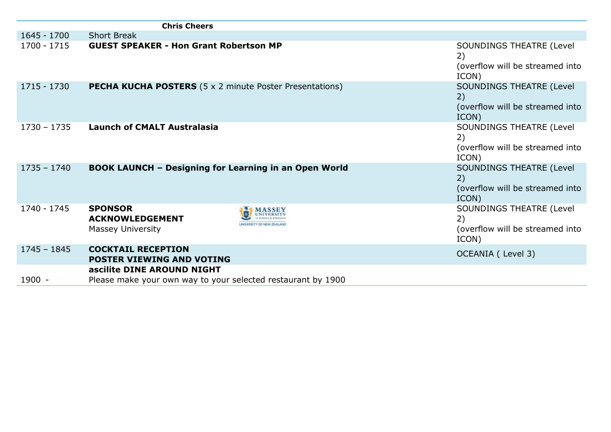|               | <b>Chris Cheers</b>                                                  |                                            |                                                                                    |
|---------------|----------------------------------------------------------------------|--------------------------------------------|------------------------------------------------------------------------------------|
| $1645 - 1700$ | <b>Short Break</b>                                                   |                                            |                                                                                    |
| 1700 - 1715   | <b>GUEST SPEAKER - Hon Grant Robertson MP</b>                        |                                            | <b>SOUNDINGS THEATRE (Level</b><br>2)<br>(overflow will be streamed into<br>ICON)  |
| 1715 - 1730   | <b>PECHA KUCHA POSTERS</b> (5 x 2 minute Poster Presentations)       |                                            | <b>SOUNDINGS THEATRE (Level)</b><br>2)<br>(overflow will be streamed into<br>ICON) |
| $1730 - 1735$ | <b>Launch of CMALT Australasia</b>                                   |                                            | <b>SOUNDINGS THEATRE (Level)</b><br>2)<br>(overflow will be streamed into<br>ICON) |
| $1735 - 1740$ | <b>BOOK LAUNCH - Designing for Learning in an Open World</b>         |                                            | <b>SOUNDINGS THEATRE (Level)</b><br>2)<br>(overflow will be streamed into<br>ICON) |
| 1740 - 1745   | <b>SPONSOR</b><br><b>ACKNOWLEDGEMENT</b><br><b>Massey University</b> | <b>MASSEY</b><br>UNIVERSITY OF NEW ZEALAND | <b>SOUNDINGS THEATRE (Level</b><br>2)<br>(overflow will be streamed into<br>ICON)  |
| $1745 - 1845$ | <b>COCKTAIL RECEPTION</b><br>POSTER VIEWING AND VOTING               |                                            | OCEANIA (Level 3)                                                                  |
|               | ascilite DINE AROUND NIGHT                                           |                                            |                                                                                    |
| $1900 -$      | Please make your own way to your selected restaurant by 1900         |                                            |                                                                                    |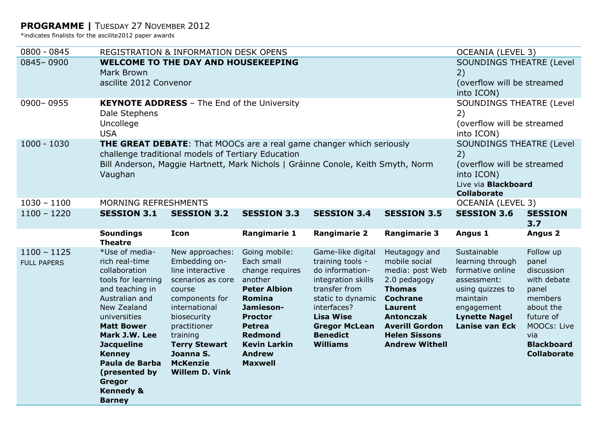#### **PROGRAMME |** TUESDAY 27 NOVEMBER 2012

\*indicates finalists for the ascilite2012 paper awards

| $0800 - 0845$                       |                                                                                                                                                                                                                                                                                                                                                                           | REGISTRATION & INFORMATION DESK OPENS                                                                                                                                                                                                              |                                                                                                                                                                                                                        |                                                                                                                                                                                                                       |                                                                                                                                                                                                                       | OCEANIA (LEVEL 3)                                                                                                                                                 |                                                                                                                                                                |  |
|-------------------------------------|---------------------------------------------------------------------------------------------------------------------------------------------------------------------------------------------------------------------------------------------------------------------------------------------------------------------------------------------------------------------------|----------------------------------------------------------------------------------------------------------------------------------------------------------------------------------------------------------------------------------------------------|------------------------------------------------------------------------------------------------------------------------------------------------------------------------------------------------------------------------|-----------------------------------------------------------------------------------------------------------------------------------------------------------------------------------------------------------------------|-----------------------------------------------------------------------------------------------------------------------------------------------------------------------------------------------------------------------|-------------------------------------------------------------------------------------------------------------------------------------------------------------------|----------------------------------------------------------------------------------------------------------------------------------------------------------------|--|
| 0845-0900                           | Mark Brown                                                                                                                                                                                                                                                                                                                                                                | <b>WELCOME TO THE DAY AND HOUSEKEEPING</b><br><b>SOUNDINGS THEATRE (Level</b><br>2)<br>ascilite 2012 Convenor<br>(overflow will be streamed<br>into ICON)                                                                                          |                                                                                                                                                                                                                        |                                                                                                                                                                                                                       |                                                                                                                                                                                                                       |                                                                                                                                                                   |                                                                                                                                                                |  |
| 0900-0955                           | <b>KEYNOTE ADDRESS</b> - The End of the University<br>SOUNDINGS THEATRE (Level<br>2)<br>Dale Stephens<br>Uncollege<br>(overflow will be streamed<br><b>USA</b><br>into ICON)                                                                                                                                                                                              |                                                                                                                                                                                                                                                    |                                                                                                                                                                                                                        |                                                                                                                                                                                                                       |                                                                                                                                                                                                                       |                                                                                                                                                                   |                                                                                                                                                                |  |
| $1000 - 1030$                       | <b>SOUNDINGS THEATRE (Level</b><br><b>THE GREAT DEBATE:</b> That MOOCs are a real game changer which seriously<br>challenge traditional models of Tertiary Education<br>2)<br>Bill Anderson, Maggie Hartnett, Mark Nichols   Gráinne Conole, Keith Smyth, Norm<br>(overflow will be streamed<br>Vaughan<br>into ICON)<br>Live via <b>Blackboard</b><br><b>Collaborate</b> |                                                                                                                                                                                                                                                    |                                                                                                                                                                                                                        |                                                                                                                                                                                                                       |                                                                                                                                                                                                                       |                                                                                                                                                                   |                                                                                                                                                                |  |
| $1030 - 1100$                       | MORNING REFRESHMENTS                                                                                                                                                                                                                                                                                                                                                      |                                                                                                                                                                                                                                                    |                                                                                                                                                                                                                        |                                                                                                                                                                                                                       |                                                                                                                                                                                                                       | <b>OCEANIA (LEVEL 3)</b>                                                                                                                                          |                                                                                                                                                                |  |
| $1100 - 1220$                       | <b>SESSION 3.1</b>                                                                                                                                                                                                                                                                                                                                                        | <b>SESSION 3.2</b>                                                                                                                                                                                                                                 | <b>SESSION 3.3</b>                                                                                                                                                                                                     | <b>SESSION 3.4</b>                                                                                                                                                                                                    | <b>SESSION 3.5</b>                                                                                                                                                                                                    | <b>SESSION 3.6</b>                                                                                                                                                | <b>SESSION</b><br>3.7                                                                                                                                          |  |
|                                     | <b>Soundings</b><br><b>Theatre</b>                                                                                                                                                                                                                                                                                                                                        | <b>Icon</b>                                                                                                                                                                                                                                        | <b>Rangimarie 1</b>                                                                                                                                                                                                    | <b>Rangimarie 2</b>                                                                                                                                                                                                   | <b>Rangimarie 3</b>                                                                                                                                                                                                   | Angus 1                                                                                                                                                           | <b>Angus 2</b>                                                                                                                                                 |  |
| $1100 - 1125$<br><b>FULL PAPERS</b> | *Use of media-<br>rich real-time<br>collaboration<br>tools for learning<br>and teaching in<br>Australian and<br>New Zealand<br>universities<br><b>Matt Bower</b><br>Mark J.W. Lee<br><b>Jacqueline</b><br><b>Kenney</b><br>Paula de Barba<br>(presented by<br>Gregor<br><b>Kennedy &amp;</b><br><b>Barney</b>                                                             | New approaches:<br>Embedding on-<br>line interactive<br>scenarios as core<br>course<br>components for<br>international<br>biosecurity<br>practitioner<br>training<br><b>Terry Stewart</b><br>Joanna S.<br><b>McKenzie</b><br><b>Willem D. Vink</b> | Going mobile:<br>Each small<br>change requires<br>another<br><b>Peter Albion</b><br>Romina<br>Jamieson-<br><b>Proctor</b><br><b>Petrea</b><br><b>Redmond</b><br><b>Kevin Larkin</b><br><b>Andrew</b><br><b>Maxwell</b> | Game-like digital<br>training tools -<br>do information-<br>integration skills<br>transfer from<br>static to dynamic<br>interfaces?<br><b>Lisa Wise</b><br><b>Gregor McLean</b><br><b>Benedict</b><br><b>Williams</b> | Heutagogy and<br>mobile social<br>media: post Web<br>2.0 pedagogy<br><b>Thomas</b><br><b>Cochrane</b><br><b>Laurent</b><br><b>Antonczak</b><br><b>Averill Gordon</b><br><b>Helen Sissons</b><br><b>Andrew Withell</b> | Sustainable<br>learning through<br>formative online<br>assessment:<br>using quizzes to<br>maintain<br>engagement<br><b>Lynette Nagel</b><br><b>Lanise van Eck</b> | Follow up<br>panel<br>discussion<br>with debate<br>panel<br>members<br>about the<br>future of<br>MOOCs: Live<br>via<br><b>Blackboard</b><br><b>Collaborate</b> |  |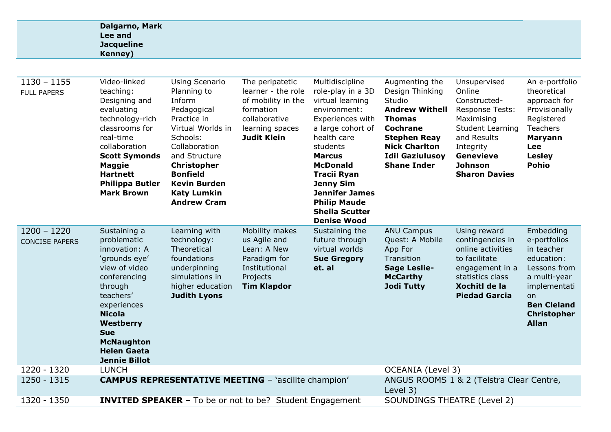|                                        | Dalgarno, Mark<br>Lee and<br><b>Jacqueline</b><br>Kenney)                                                                                                                                                                                            |                                                                                                                                                                                                                                                      |                                                                                                                                    |                                                                                                                                                                                                                                                                                                                           |                                                                                                                                                                                                         |                                                                                                                                                                                                     |                                                                                                                                                                         |
|----------------------------------------|------------------------------------------------------------------------------------------------------------------------------------------------------------------------------------------------------------------------------------------------------|------------------------------------------------------------------------------------------------------------------------------------------------------------------------------------------------------------------------------------------------------|------------------------------------------------------------------------------------------------------------------------------------|---------------------------------------------------------------------------------------------------------------------------------------------------------------------------------------------------------------------------------------------------------------------------------------------------------------------------|---------------------------------------------------------------------------------------------------------------------------------------------------------------------------------------------------------|-----------------------------------------------------------------------------------------------------------------------------------------------------------------------------------------------------|-------------------------------------------------------------------------------------------------------------------------------------------------------------------------|
| $1130 - 1155$<br><b>FULL PAPERS</b>    | Video-linked<br>teaching:<br>Designing and<br>evaluating<br>technology-rich<br>classrooms for<br>real-time<br>collaboration<br><b>Scott Symonds</b><br><b>Maggie</b><br><b>Hartnett</b><br><b>Philippa Butler</b><br><b>Mark Brown</b>               | Using Scenario<br>Planning to<br>Inform<br>Pedagogical<br>Practice in<br>Virtual Worlds in<br>Schools:<br>Collaboration<br>and Structure<br><b>Christopher</b><br><b>Bonfield</b><br><b>Kevin Burden</b><br><b>Katy Lumkin</b><br><b>Andrew Cram</b> | The peripatetic<br>learner - the role<br>of mobility in the<br>formation<br>collaborative<br>learning spaces<br><b>Judit Klein</b> | Multidiscipline<br>role-play in a 3D<br>virtual learning<br>environment:<br>Experiences with<br>a large cohort of<br>health care<br>students<br><b>Marcus</b><br><b>McDonald</b><br><b>Tracii Ryan</b><br><b>Jenny Sim</b><br><b>Jennifer James</b><br><b>Philip Maude</b><br><b>Sheila Scutter</b><br><b>Denise Wood</b> | Augmenting the<br>Design Thinking<br>Studio<br><b>Andrew Withell</b><br><b>Thomas</b><br><b>Cochrane</b><br><b>Stephen Reay</b><br><b>Nick Charlton</b><br><b>Idil Gaziulusoy</b><br><b>Shane Inder</b> | Unsupervised<br>Online<br>Constructed-<br><b>Response Tests:</b><br>Maximising<br><b>Student Learning</b><br>and Results<br>Integrity<br><b>Genevieve</b><br><b>Johnson</b><br><b>Sharon Davies</b> | An e-portfolio<br>theoretical<br>approach for<br>Provisionally<br>Registered<br><b>Teachers</b><br>Maryann<br>Lee<br><b>Lesley</b><br><b>Pohio</b>                      |
| $1200 - 1220$<br><b>CONCISE PAPERS</b> | Sustaining a<br>problematic<br>innovation: A<br>'grounds eye'<br>view of video<br>conferencing<br>through<br>teachers'<br>experiences<br><b>Nicola</b><br>Westberry<br><b>Sue</b><br><b>McNaughton</b><br><b>Helen Gaeta</b><br><b>Jennie Billot</b> | Learning with<br>technology:<br>Theoretical<br>foundations<br>underpinning<br>simulations in<br>higher education<br><b>Judith Lyons</b>                                                                                                              | Mobility makes<br>us Agile and<br>Lean: A New<br>Paradigm for<br>Institutional<br>Projects<br><b>Tim Klapdor</b>                   | Sustaining the<br>future through<br>virtual worlds<br><b>Sue Gregory</b><br>et. al                                                                                                                                                                                                                                        | <b>ANU Campus</b><br>Quest: A Mobile<br>App For<br>Transition<br><b>Sage Leslie-</b><br><b>McCarthy</b><br><b>Jodi Tutty</b>                                                                            | Using reward<br>contingencies in<br>online activities<br>to facilitate<br>engagement in a<br>statistics class<br>Xochitl de la<br><b>Piedad Garcia</b>                                              | Embedding<br>e-portfolios<br>in teacher<br>education:<br>Lessons from<br>a multi-year<br>implementati<br>on<br><b>Ben Cleland</b><br><b>Christopher</b><br><b>Allan</b> |
| 1220 - 1320                            | <b>LUNCH</b>                                                                                                                                                                                                                                         |                                                                                                                                                                                                                                                      |                                                                                                                                    |                                                                                                                                                                                                                                                                                                                           | <b>OCEANIA</b> (Level 3)                                                                                                                                                                                |                                                                                                                                                                                                     |                                                                                                                                                                         |
| 1250 - 1315                            |                                                                                                                                                                                                                                                      |                                                                                                                                                                                                                                                      | <b>CAMPUS REPRESENTATIVE MEETING - 'ascilite champion'</b>                                                                         |                                                                                                                                                                                                                                                                                                                           | Level 3)                                                                                                                                                                                                | ANGUS ROOMS 1 & 2 (Telstra Clear Centre,                                                                                                                                                            |                                                                                                                                                                         |
| 1320 - 1350                            |                                                                                                                                                                                                                                                      |                                                                                                                                                                                                                                                      | <b>INVITED SPEAKER</b> - To be or not to be? Student Engagement                                                                    |                                                                                                                                                                                                                                                                                                                           | SOUNDINGS THEATRE (Level 2)                                                                                                                                                                             |                                                                                                                                                                                                     |                                                                                                                                                                         |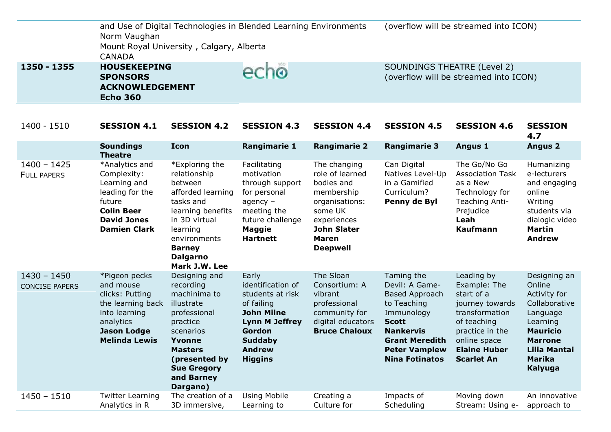|             | and Use of Digital Technologies in Blended Learning Environments<br>Norm Vaughan<br>Mount Royal University, Calgary, Alberta<br><b>CANADA</b> |      | (overflow will be streamed into ICON)                                |  |  |  |
|-------------|-----------------------------------------------------------------------------------------------------------------------------------------------|------|----------------------------------------------------------------------|--|--|--|
| 1350 - 1355 | <b>HOUSEKEEPING</b><br><b>SPONSORS</b><br><b>ACKNOWLEDGEMENT</b><br><b>Echo 360</b>                                                           | echo | SOUNDINGS THEATRE (Level 2)<br>(overflow will be streamed into ICON) |  |  |  |

1400 - 1510 **SESSION 4.1 SESSION 4.2 SESSION 4.3 SESSION 4.4 SESSION 4.5 SESSION 4.6 SESSION** 

**4.7**

|                                        | <b>Soundings</b><br><b>Theatre</b>                                                                                                           | <b>Icon</b>                                                                                                                                                                                        | <b>Rangimarie 1</b>                                                                                                                                                       | <b>Rangimarie 2</b>                                                                                                                                       | <b>Rangimarie 3</b>                                                                                                                                                                              | Angus 1                                                                                                                                                                     | <b>Angus 2</b>                                                                                                                                                          |
|----------------------------------------|----------------------------------------------------------------------------------------------------------------------------------------------|----------------------------------------------------------------------------------------------------------------------------------------------------------------------------------------------------|---------------------------------------------------------------------------------------------------------------------------------------------------------------------------|-----------------------------------------------------------------------------------------------------------------------------------------------------------|--------------------------------------------------------------------------------------------------------------------------------------------------------------------------------------------------|-----------------------------------------------------------------------------------------------------------------------------------------------------------------------------|-------------------------------------------------------------------------------------------------------------------------------------------------------------------------|
| $1400 - 1425$<br><b>FULL PAPERS</b>    | *Analytics and<br>Complexity:<br>Learning and<br>leading for the<br>future<br><b>Colin Beer</b><br><b>David Jones</b><br><b>Damien Clark</b> | *Exploring the<br>relationship<br>between<br>afforded learning<br>tasks and<br>learning benefits<br>in 3D virtual<br>learning<br>environments<br><b>Barney</b><br><b>Dalgarno</b><br>Mark J.W. Lee | Facilitating<br>motivation<br>through support<br>for personal<br>agency $-$<br>meeting the<br>future challenge<br><b>Maggie</b><br><b>Hartnett</b>                        | The changing<br>role of learned<br>bodies and<br>membership<br>organisations:<br>some UK<br>experiences<br><b>John Slater</b><br>Maren<br><b>Deepwell</b> | Can Digital<br>Natives Level-Up<br>in a Gamified<br>Curriculum?<br>Penny de Byl                                                                                                                  | The Go/No Go<br><b>Association Task</b><br>as a New<br>Technology for<br>Teaching Anti-<br>Prejudice<br>Leah<br><b>Kaufmann</b>                                             | Humanizing<br>e-lecturers<br>and engaging<br>online<br>Writing<br>students via<br>dialogic video<br>Martin<br><b>Andrew</b>                                             |
| $1430 - 1450$<br><b>CONCISE PAPERS</b> | *Pigeon pecks<br>and mouse<br>clicks: Putting<br>the learning back<br>into learning<br>analytics<br>Jason Lodge<br><b>Melinda Lewis</b>      | Designing and<br>recording<br>machinima to<br>illustrate<br>professional<br>practice<br>scenarios<br>Yvonne<br><b>Masters</b><br>(presented by<br><b>Sue Gregory</b><br>and Barney<br>Dargano)     | Early<br>identification of<br>students at risk<br>of failing<br><b>John Milne</b><br><b>Lynn M Jeffrey</b><br>Gordon<br><b>Suddaby</b><br><b>Andrew</b><br><b>Higgins</b> | The Sloan<br>Consortium: A<br>vibrant<br>professional<br>community for<br>digital educators<br><b>Bruce Chaloux</b>                                       | Taming the<br>Devil: A Game-<br><b>Based Approach</b><br>to Teaching<br>Immunology<br><b>Scott</b><br><b>Nankervis</b><br><b>Grant Meredith</b><br><b>Peter Vamplew</b><br><b>Nina Fotinatos</b> | Leading by<br>Example: The<br>start of a<br>journey towards<br>transformation<br>of teaching<br>practice in the<br>online space<br><b>Elaine Huber</b><br><b>Scarlet An</b> | Designing an<br>Online<br>Activity for<br>Collaborative<br>Language<br>Learning<br><b>Mauricio</b><br><b>Marrone</b><br>Lilia Mantai<br><b>Marika</b><br><b>Kalyuga</b> |
| $1450 - 1510$                          | <b>Twitter Learning</b><br>Analytics in R                                                                                                    | The creation of a<br>3D immersive,                                                                                                                                                                 | <b>Using Mobile</b><br>Learning to                                                                                                                                        | Creating a<br>Culture for                                                                                                                                 | Impacts of<br>Scheduling                                                                                                                                                                         | Moving down<br>Stream: Using e-                                                                                                                                             | An innovative<br>approach to                                                                                                                                            |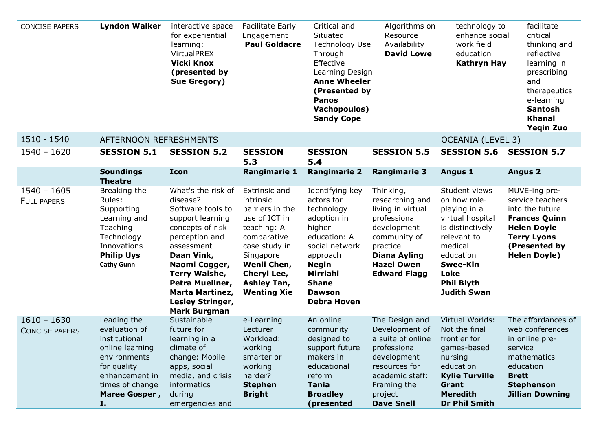| <b>CONCISE PAPERS</b>                  | <b>Lyndon Walker</b>                                                                                                                                        | interactive space<br>for experiential<br>learning:<br>VirtualPREX<br><b>Vicki Knox</b><br>(presented by<br><b>Sue Gregory)</b>                                                                                                                                             | <b>Facilitate Early</b><br>Engagement<br><b>Paul Goldacre</b>                                                                                                                                        | Critical and<br>Situated<br><b>Technology Use</b><br>Through<br>Effective<br>Learning Design<br><b>Anne Wheeler</b><br>(Presented by<br><b>Panos</b><br><b>Vachopoulos)</b><br><b>Sandy Cope</b>      | Algorithms on<br>Resource<br>Availability<br><b>David Lowe</b>                                                                                                                  | technology to<br>enhance social<br>work field<br>education<br>Kathryn Hay                                                                                                                          | facilitate<br>critical<br>thinking and<br>reflective<br>learning in<br>prescribing<br>and<br>therapeutics<br>e-learning<br><b>Santosh</b><br><b>Khanal</b><br><b>Yeqin Zuo</b> |
|----------------------------------------|-------------------------------------------------------------------------------------------------------------------------------------------------------------|----------------------------------------------------------------------------------------------------------------------------------------------------------------------------------------------------------------------------------------------------------------------------|------------------------------------------------------------------------------------------------------------------------------------------------------------------------------------------------------|-------------------------------------------------------------------------------------------------------------------------------------------------------------------------------------------------------|---------------------------------------------------------------------------------------------------------------------------------------------------------------------------------|----------------------------------------------------------------------------------------------------------------------------------------------------------------------------------------------------|--------------------------------------------------------------------------------------------------------------------------------------------------------------------------------|
| 1510 - 1540                            | AFTERNOON REFRESHMENTS                                                                                                                                      |                                                                                                                                                                                                                                                                            |                                                                                                                                                                                                      |                                                                                                                                                                                                       |                                                                                                                                                                                 | <b>OCEANIA (LEVEL 3)</b>                                                                                                                                                                           |                                                                                                                                                                                |
| $1540 - 1620$                          | <b>SESSION 5.1</b>                                                                                                                                          | <b>SESSION 5.2</b>                                                                                                                                                                                                                                                         | <b>SESSION</b><br>5.3                                                                                                                                                                                | <b>SESSION</b><br>5.4                                                                                                                                                                                 | <b>SESSION 5.5</b>                                                                                                                                                              | <b>SESSION 5.6</b>                                                                                                                                                                                 | <b>SESSION 5.7</b>                                                                                                                                                             |
|                                        | <b>Soundings</b><br><b>Theatre</b>                                                                                                                          | <b>Icon</b>                                                                                                                                                                                                                                                                | <b>Rangimarie 1</b>                                                                                                                                                                                  | <b>Rangimarie 2</b>                                                                                                                                                                                   | <b>Rangimarie 3</b>                                                                                                                                                             | <b>Angus 1</b>                                                                                                                                                                                     | <b>Angus 2</b>                                                                                                                                                                 |
| $1540 - 1605$<br><b>FULL PAPERS</b>    | Breaking the<br>Rules:<br>Supporting<br>Learning and<br>Teaching<br>Technology<br>Innovations<br><b>Philip Uys</b><br><b>Cathy Gunn</b>                     | What's the risk of<br>disease?<br>Software tools to<br>support learning<br>concepts of risk<br>perception and<br>assessment<br>Daan Vink,<br>Naomi Cogger,<br><b>Terry Walshe,</b><br>Petra Muellner,<br><b>Marta Martinez,</b><br>Lesley Stringer,<br><b>Mark Burgman</b> | <b>Extrinsic and</b><br>intrinsic<br>barriers in the<br>use of ICT in<br>teaching: A<br>comparative<br>case study in<br>Singapore<br>Wenli Chen,<br>Cheryl Lee,<br>Ashley Tan,<br><b>Wenting Xie</b> | Identifying key<br>actors for<br>technology<br>adoption in<br>higher<br>education: A<br>social network<br>approach<br><b>Negin</b><br>Mirriahi<br><b>Shane</b><br><b>Dawson</b><br><b>Debra Hoven</b> | Thinking,<br>researching and<br>living in virtual<br>professional<br>development<br>community of<br>practice<br><b>Diana Ayling</b><br><b>Hazel Owen</b><br><b>Edward Flagg</b> | Student views<br>on how role-<br>playing in a<br>virtual hospital<br>is distinctively<br>relevant to<br>medical<br>education<br><b>Swee-Kin</b><br>Loke<br><b>Phil Blyth</b><br><b>Judith Swan</b> | MUVE-ing pre-<br>service teachers<br>into the future<br><b>Frances Quinn</b><br><b>Helen Doyle</b><br><b>Terry Lyons</b><br>(Presented by<br><b>Helen Doyle)</b>               |
| $1610 - 1630$<br><b>CONCISE PAPERS</b> | Leading the<br>evaluation of<br>institutional<br>online learning<br>environments<br>for quality<br>enhancement in<br>times of change<br>Maree Gosper,<br>I. | Sustainable<br>future for<br>learning in a<br>climate of<br>change: Mobile<br>apps, social<br>media, and crisis<br>informatics<br>during<br>emergencies and                                                                                                                | e-Learning<br>Lecturer<br>Workload:<br>working<br>smarter or<br>working<br>harder?<br><b>Stephen</b><br><b>Bright</b>                                                                                | An online<br>community<br>designed to<br>support future<br>makers in<br>educational<br>reform<br><b>Tania</b><br><b>Broadley</b><br>(presented                                                        | The Design and<br>Development of<br>a suite of online<br>professional<br>development<br>resources for<br>academic staff:<br>Framing the<br>project<br><b>Dave Snell</b>         | Virtual Worlds:<br>Not the final<br>frontier for<br>games-based<br>nursing<br>education<br><b>Kylie Turville</b><br>Grant<br><b>Meredith</b><br><b>Dr Phil Smith</b>                               | The affordances of<br>web conferences<br>in online pre-<br>service<br>mathematics<br>education<br><b>Brett</b><br><b>Stephenson</b><br><b>Jillian Downing</b>                  |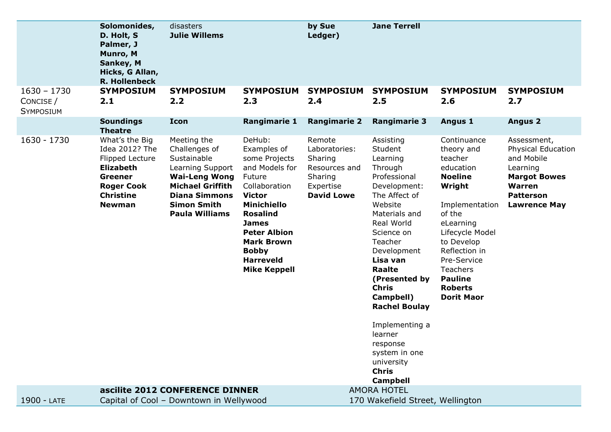|                                                | Solomonides,<br>D. Holt, S<br>Palmer, J<br>Munro, M<br>Sankey, M<br>Hicks, G Allan,<br><b>R. Hollenbeck</b>                                         | disasters<br><b>Julie Willems</b>                                                                                                                                                         |                                                                                                                                                                                                                                                                      | by Sue<br>Ledger)                                                                                | <b>Jane Terrell</b>                                                                                                                                                                                                                                                                                                                                                                          |                                                                                                                                                                                                                                                              |                                                                                                                                                |
|------------------------------------------------|-----------------------------------------------------------------------------------------------------------------------------------------------------|-------------------------------------------------------------------------------------------------------------------------------------------------------------------------------------------|----------------------------------------------------------------------------------------------------------------------------------------------------------------------------------------------------------------------------------------------------------------------|--------------------------------------------------------------------------------------------------|----------------------------------------------------------------------------------------------------------------------------------------------------------------------------------------------------------------------------------------------------------------------------------------------------------------------------------------------------------------------------------------------|--------------------------------------------------------------------------------------------------------------------------------------------------------------------------------------------------------------------------------------------------------------|------------------------------------------------------------------------------------------------------------------------------------------------|
| $1630 - 1730$<br>CONCISE /<br><b>SYMPOSIUM</b> | <b>SYMPOSIUM</b><br>2.1                                                                                                                             | <b>SYMPOSIUM</b><br>2.2                                                                                                                                                                   | <b>SYMPOSIUM</b><br>2.3                                                                                                                                                                                                                                              | <b>SYMPOSIUM</b><br>2.4                                                                          | <b>SYMPOSIUM</b><br>2.5                                                                                                                                                                                                                                                                                                                                                                      | <b>SYMPOSIUM</b><br>2.6                                                                                                                                                                                                                                      | <b>SYMPOSIUM</b><br>2.7                                                                                                                        |
|                                                | <b>Soundings</b><br><b>Theatre</b>                                                                                                                  | <b>Icon</b>                                                                                                                                                                               | <b>Rangimarie 1</b>                                                                                                                                                                                                                                                  | <b>Rangimarie 2</b>                                                                              | <b>Rangimarie 3</b>                                                                                                                                                                                                                                                                                                                                                                          | Angus 1                                                                                                                                                                                                                                                      | <b>Angus 2</b>                                                                                                                                 |
| 1630 - 1730                                    | What's the Big<br>Idea 2012? The<br>Flipped Lecture<br><b>Elizabeth</b><br><b>Greener</b><br><b>Roger Cook</b><br><b>Christine</b><br><b>Newman</b> | Meeting the<br>Challenges of<br>Sustainable<br>Learning Support<br><b>Wai-Leng Wong</b><br><b>Michael Griffith</b><br><b>Diana Simmons</b><br><b>Simon Smith</b><br><b>Paula Williams</b> | DeHub:<br>Examples of<br>some Projects<br>and Models for<br>Future<br>Collaboration<br><b>Victor</b><br><b>Minichiello</b><br><b>Rosalind</b><br><b>James</b><br><b>Peter Albion</b><br><b>Mark Brown</b><br><b>Bobby</b><br><b>Harreveld</b><br><b>Mike Keppell</b> | Remote<br>Laboratories:<br>Sharing<br>Resources and<br>Sharing<br>Expertise<br><b>David Lowe</b> | Assisting<br>Student<br>Learning<br>Through<br>Professional<br>Development:<br>The Affect of<br>Website<br>Materials and<br>Real World<br>Science on<br>Teacher<br>Development<br>Lisa van<br><b>Raalte</b><br>(Presented by<br><b>Chris</b><br>Campbell)<br><b>Rachel Boulay</b><br>Implementing a<br>learner<br>response<br>system in one<br>university<br><b>Chris</b><br><b>Campbell</b> | Continuance<br>theory and<br>teacher<br>education<br><b>Noeline</b><br>Wright<br>Implementation<br>of the<br>eLearning<br>Lifecycle Model<br>to Develop<br>Reflection in<br>Pre-Service<br>Teachers<br><b>Pauline</b><br><b>Roberts</b><br><b>Dorit Maor</b> | Assessment,<br>Physical Education<br>and Mobile<br>Learning<br><b>Margot Bowes</b><br><b>Warren</b><br><b>Patterson</b><br><b>Lawrence May</b> |
| 1900 - LATE                                    | ascilite 2012 CONFERENCE DINNER<br>Capital of Cool - Downtown in Wellywood                                                                          |                                                                                                                                                                                           |                                                                                                                                                                                                                                                                      |                                                                                                  | <b>AMORA HOTEL</b><br>170 Wakefield Street, Wellington                                                                                                                                                                                                                                                                                                                                       |                                                                                                                                                                                                                                                              |                                                                                                                                                |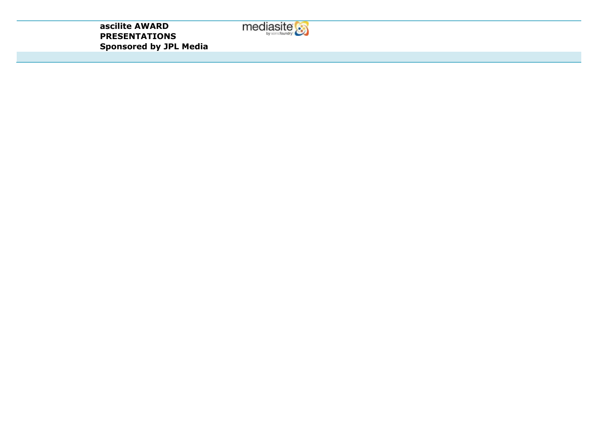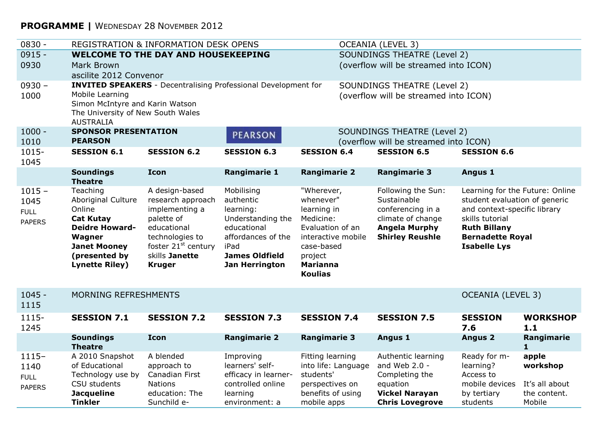## **PROGRAMME |** WEDNESDAY 28 NOVEMBER 2012

| $0830 -$                                         | <b>REGISTRATION &amp; INFORMATION DESK OPENS</b>                                                                                                                                     |                                                                                                                                                                             |                                                                                                                                                   |                                                                                                                                                             | <b>OCEANIA (LEVEL 3)</b>                                             |                                                                                                                               |                                                                                                                                                                                              |                                                               |
|--------------------------------------------------|--------------------------------------------------------------------------------------------------------------------------------------------------------------------------------------|-----------------------------------------------------------------------------------------------------------------------------------------------------------------------------|---------------------------------------------------------------------------------------------------------------------------------------------------|-------------------------------------------------------------------------------------------------------------------------------------------------------------|----------------------------------------------------------------------|-------------------------------------------------------------------------------------------------------------------------------|----------------------------------------------------------------------------------------------------------------------------------------------------------------------------------------------|---------------------------------------------------------------|
| $0915 -$                                         | <b>WELCOME TO THE DAY AND HOUSEKEEPING</b>                                                                                                                                           |                                                                                                                                                                             |                                                                                                                                                   |                                                                                                                                                             | SOUNDINGS THEATRE (Level 2)                                          |                                                                                                                               |                                                                                                                                                                                              |                                                               |
| 0930                                             | Mark Brown<br>ascilite 2012 Convenor                                                                                                                                                 |                                                                                                                                                                             |                                                                                                                                                   |                                                                                                                                                             | (overflow will be streamed into ICON)                                |                                                                                                                               |                                                                                                                                                                                              |                                                               |
| $0930 -$<br>1000                                 | <b>INVITED SPEAKERS</b> - Decentralising Professional Development for<br>Mobile Learning<br>Simon McIntyre and Karin Watson<br>The University of New South Wales<br><b>AUSTRALIA</b> |                                                                                                                                                                             |                                                                                                                                                   |                                                                                                                                                             | SOUNDINGS THEATRE (Level 2)<br>(overflow will be streamed into ICON) |                                                                                                                               |                                                                                                                                                                                              |                                                               |
| $1000 -$<br>1010                                 | <b>SPONSOR PRESENTATION</b><br><b>PEARSON</b>                                                                                                                                        |                                                                                                                                                                             | <b>PEARSON</b>                                                                                                                                    |                                                                                                                                                             |                                                                      | SOUNDINGS THEATRE (Level 2)<br>(overflow will be streamed into ICON)                                                          |                                                                                                                                                                                              |                                                               |
| 1015-<br>1045                                    | <b>SESSION 6.1</b>                                                                                                                                                                   | <b>SESSION 6.2</b>                                                                                                                                                          | <b>SESSION 6.3</b>                                                                                                                                | <b>SESSION 6.4</b>                                                                                                                                          |                                                                      | <b>SESSION 6.5</b>                                                                                                            | <b>SESSION 6.6</b>                                                                                                                                                                           |                                                               |
|                                                  | <b>Soundings</b><br><b>Theatre</b>                                                                                                                                                   | <b>Icon</b>                                                                                                                                                                 | <b>Rangimarie 1</b>                                                                                                                               | <b>Rangimarie 2</b>                                                                                                                                         |                                                                      | <b>Rangimarie 3</b>                                                                                                           | Angus 1                                                                                                                                                                                      |                                                               |
| $1015 -$<br>1045<br><b>FULL</b><br><b>PAPERS</b> | Teaching<br><b>Aboriginal Culture</b><br>Online<br><b>Cat Kutay</b><br><b>Deidre Howard-</b><br>Wagner<br><b>Janet Mooney</b><br>(presented by<br><b>Lynette Riley)</b>              | A design-based<br>research approach<br>implementing a<br>palette of<br>educational<br>technologies to<br>foster 21 <sup>st</sup> century<br>skills Janette<br><b>Kruger</b> | Mobilising<br>authentic<br>learning:<br>Understanding the<br>educational<br>affordances of the<br>iPad<br><b>James Oldfield</b><br>Jan Herrington | "Wherever,<br>whenever"<br>learning in<br>Medicine:<br>Evaluation of an<br>interactive mobile<br>case-based<br>project<br><b>Marianna</b><br><b>Koulias</b> |                                                                      | Following the Sun:<br>Sustainable<br>conferencing in a<br>climate of change<br><b>Angela Murphy</b><br><b>Shirley Reushle</b> | Learning for the Future: Online<br>student evaluation of generic<br>and context-specific library<br>skills tutorial<br><b>Ruth Billany</b><br><b>Bernadette Royal</b><br><b>Isabelle Lys</b> |                                                               |
| $1045 -$<br>1115                                 | <b>MORNING REFRESHMENTS</b>                                                                                                                                                          |                                                                                                                                                                             |                                                                                                                                                   |                                                                                                                                                             |                                                                      |                                                                                                                               | <b>OCEANIA (LEVEL 3)</b>                                                                                                                                                                     |                                                               |
| 1115-<br>1245                                    | <b>SESSION 7.1</b>                                                                                                                                                                   | <b>SESSION 7.2</b>                                                                                                                                                          | <b>SESSION 7.3</b>                                                                                                                                | <b>SESSION 7.4</b>                                                                                                                                          |                                                                      | <b>SESSION 7.5</b>                                                                                                            | <b>SESSION</b><br>7.6                                                                                                                                                                        | <b>WORKSHOP</b><br>1.1                                        |
|                                                  | <b>Soundings</b><br><b>Theatre</b>                                                                                                                                                   | <b>Icon</b>                                                                                                                                                                 | <b>Rangimarie 2</b>                                                                                                                               | <b>Rangimarie 3</b>                                                                                                                                         |                                                                      | Angus 1                                                                                                                       | <b>Angus 2</b>                                                                                                                                                                               | Rangimarie<br>$\mathbf{1}$                                    |
| $1115-$<br>1140<br><b>FULL</b><br><b>PAPERS</b>  | A 2010 Snapshot<br>of Educational<br>Technology use by<br>CSU students<br><b>Jacqueline</b><br><b>Tinkler</b>                                                                        | A blended<br>approach to<br>Canadian First<br><b>Nations</b><br>education: The<br>Sunchild e-                                                                               | Improving<br>learners' self-<br>efficacy in learner-<br>controlled online<br>learning<br>environment: a                                           | Fitting learning<br>into life: Language<br>students'<br>perspectives on<br>benefits of using<br>mobile apps                                                 |                                                                      | Authentic learning<br>and Web 2.0 -<br>Completing the<br>equation<br><b>Vickel Narayan</b><br><b>Chris Lovegrove</b>          | Ready for m-<br>learning?<br>Access to<br>mobile devices<br>by tertiary<br>students                                                                                                          | apple<br>workshop<br>It's all about<br>the content.<br>Mobile |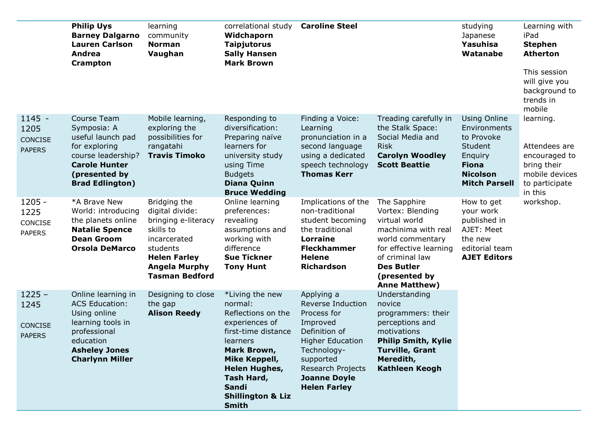|                                              | <b>Philip Uys</b><br><b>Barney Dalgarno</b><br><b>Lauren Carlson</b><br>Andrea<br>Crampton                                                                      | learning<br>community<br><b>Norman</b><br>Vaughan                                                                                                                       | correlational study<br>Widchaporn<br><b>Taipjutorus</b><br><b>Sally Hansen</b><br><b>Mark Brown</b>                                                                                                                                  | <b>Caroline Steel</b>                                                                                                                                                                                 |                                                                                                                                                                                                         | studying<br>Japanese<br>Yasuhisa<br>Watanabe                                                                                       | Learning with<br>iPad<br><b>Stephen</b><br><b>Atherton</b><br>This session<br>will give you<br>background to<br>trends in<br>mobile |
|----------------------------------------------|-----------------------------------------------------------------------------------------------------------------------------------------------------------------|-------------------------------------------------------------------------------------------------------------------------------------------------------------------------|--------------------------------------------------------------------------------------------------------------------------------------------------------------------------------------------------------------------------------------|-------------------------------------------------------------------------------------------------------------------------------------------------------------------------------------------------------|---------------------------------------------------------------------------------------------------------------------------------------------------------------------------------------------------------|------------------------------------------------------------------------------------------------------------------------------------|-------------------------------------------------------------------------------------------------------------------------------------|
| $1145 -$<br>1205<br>CONCISE<br><b>PAPERS</b> | Course Team<br>Symposia: A<br>useful launch pad<br>for exploring<br>course leadership?<br><b>Carole Hunter</b><br>(presented by<br><b>Brad Edlington)</b>       | Mobile learning,<br>exploring the<br>possibilities for<br>rangatahi<br><b>Travis Timoko</b>                                                                             | Responding to<br>diversification:<br>Preparing naïve<br>learners for<br>university study<br>using Time<br><b>Budgets</b><br><b>Diana Quinn</b><br><b>Bruce Wedding</b>                                                               | Finding a Voice:<br>Learning<br>pronunciation in a<br>second language<br>using a dedicated<br>speech technology<br><b>Thomas Kerr</b>                                                                 | Treading carefully in<br>the Stalk Space:<br>Social Media and<br><b>Risk</b><br><b>Carolyn Woodley</b><br><b>Scott Beattie</b>                                                                          | <b>Using Online</b><br>Environments<br>to Provoke<br>Student<br>Enquiry<br><b>Fiona</b><br><b>Nicolson</b><br><b>Mitch Parsell</b> | learning.<br>Attendees are<br>encouraged to<br>bring their<br>mobile devices<br>to participate<br>in this                           |
| $1205 -$<br>1225<br>CONCISE<br><b>PAPERS</b> | *A Brave New<br>World: introducing<br>the planets online<br><b>Natalie Spence</b><br><b>Dean Groom</b><br><b>Orsola DeMarco</b>                                 | Bridging the<br>digital divide:<br>bringing e-literacy<br>skills to<br>incarcerated<br>students<br><b>Helen Farley</b><br><b>Angela Murphy</b><br><b>Tasman Bedford</b> | Online learning<br>preferences:<br>revealing<br>assumptions and<br>working with<br>difference<br><b>Sue Tickner</b><br><b>Tony Hunt</b>                                                                                              | Implications of the<br>non-traditional<br>student becoming<br>the traditional<br><b>Lorraine</b><br><b>Fleckhammer</b><br><b>Helene</b><br><b>Richardson</b>                                          | The Sapphire<br>Vortex: Blending<br>virtual world<br>machinima with real<br>world commentary<br>for effective learning<br>of criminal law<br><b>Des Butler</b><br>(presented by<br><b>Anne Matthew)</b> | How to get<br>your work<br>published in<br>AJET: Meet<br>the new<br>editorial team<br><b>AJET Editors</b>                          | workshop.                                                                                                                           |
| $1225 -$<br>1245<br>CONCISE<br><b>PAPERS</b> | Online learning in<br><b>ACS Education:</b><br>Using online<br>learning tools in<br>professional<br>education<br><b>Asheley Jones</b><br><b>Charlynn Miller</b> | Designing to close<br>the gap<br><b>Alison Reedy</b>                                                                                                                    | *Living the new<br>normal:<br>Reflections on the<br>experiences of<br>first-time distance<br>learners<br>Mark Brown,<br><b>Mike Keppell,</b><br>Helen Hughes,<br>Tash Hard,<br>Sandi<br><b>Shillington &amp; Liz</b><br><b>Smith</b> | Applying a<br>Reverse Induction<br>Process for<br>Improved<br>Definition of<br><b>Higher Education</b><br>Technology-<br>supported<br>Research Projects<br><b>Joanne Doyle</b><br><b>Helen Farley</b> | Understanding<br>novice<br>programmers: their<br>perceptions and<br>motivations<br><b>Philip Smith, Kylie</b><br><b>Turville, Grant</b><br>Meredith,<br>Kathleen Keogh                                  |                                                                                                                                    |                                                                                                                                     |